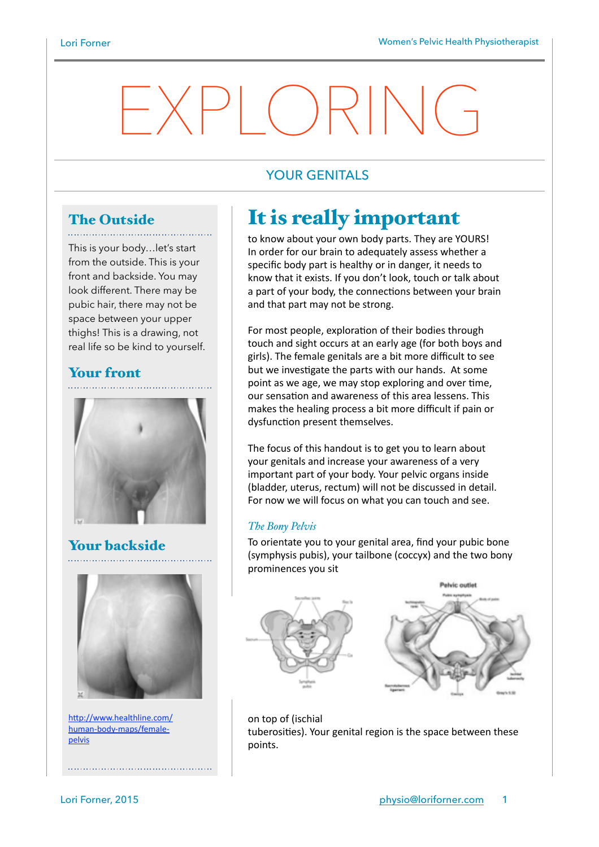# $\Box$

# YOUR GENITALS

# The Outside

This is your body…let's start from the outside. This is your front and backside. You may look different. There may be pubic hair, there may not be space between your upper thighs! This is a drawing, not real life so be kind to yourself.

# Your front



Your backside



http://www.healthline.com/ human-body-maps/femalepelvis

# It is really important

to know about your own body parts. They are YOURS! In order for our brain to adequately assess whether a specific body part is healthy or in danger, it needs to know that it exists. If you don't look, touch or talk about a part of your body, the connections between your brain and that part may not be strong.

For most people, exploration of their bodies through touch and sight occurs at an early age (for both boys and girls). The female genitals are a bit more difficult to see but we investigate the parts with our hands. At some point as we age, we may stop exploring and over time, our sensation and awareness of this area lessens. This makes the healing process a bit more difficult if pain or dysfunction present themselves.

The focus of this handout is to get you to learn about your genitals and increase your awareness of a very important part of your body. Your pelvic organs inside (bladder, uterus, rectum) will not be discussed in detail. For now we will focus on what you can touch and see.

## *The Bony Pelvis*

To orientate you to your genital area, find your pubic bone (symphysis pubis), your tailbone (coccyx) and the two bony prominences you sit





on top of (ischial tuberosities). Your genital region is the space between these points.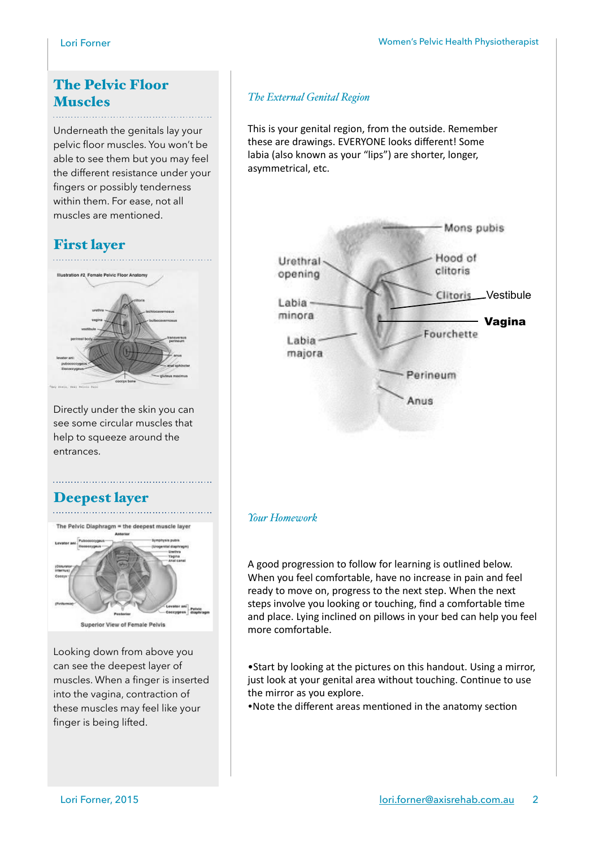# The Pelvic Floor Muscles

Underneath the genitals lay your pelvic floor muscles. You won't be able to see them but you may feel the different resistance under your fingers or possibly tenderness within them. For ease, not all muscles are mentioned.

# First layer



Directly under the skin you can see some circular muscles that help to squeeze around the entrances.

# Deepest layer



Looking down from above you can see the deepest layer of muscles. When a finger is inserted into the vagina, contraction of these muscles may feel like your finger is being lifted.

## *The External Genital Region*

This is your genital region, from the outside. Remember these are drawings. EVERYONE looks different! Some labia (also known as your "lips") are shorter, longer, asymmetrical, etc.



### *Your Homework*

A good progression to follow for learning is outlined below. When you feel comfortable, have no increase in pain and feel ready to move on, progress to the next step. When the next steps involve you looking or touching, find a comfortable time and place. Lying inclined on pillows in your bed can help you feel more comfortable.

• Start by looking at the pictures on this handout. Using a mirror, just look at your genital area without touching. Continue to use the mirror as you explore.

•Note the different areas mentioned in the anatomy section